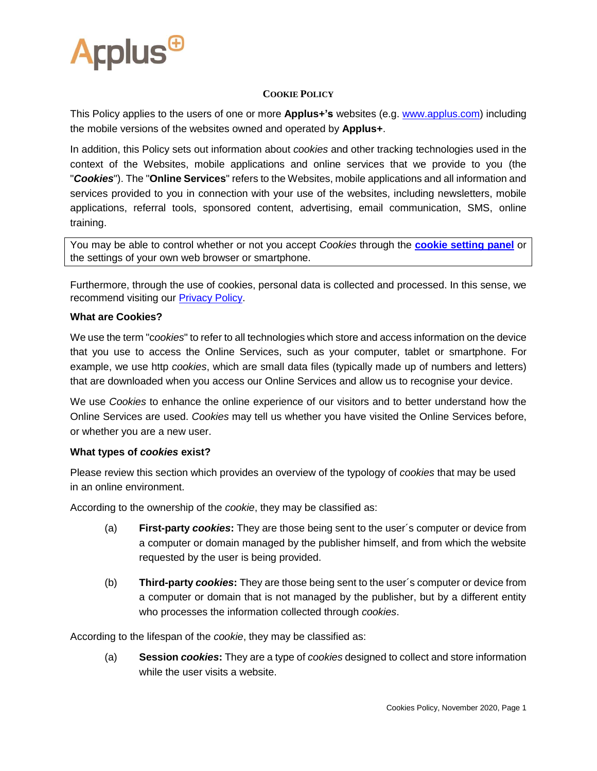

### **COOKIE POLICY**

This Policy applies to the users of one or more **Applus+'s** websites (e.g. [www.applus.com\)](http://www.applus.com/) including the mobile versions of the websites owned and operated by **Applus+**.

In addition, this Policy sets out information about *cookies* and other tracking technologies used in the context of the Websites, mobile applications and online services that we provide to you (the "*Cookies*"). The "**Online Services**" refers to the Websites, mobile applications and all information and services provided to you in connection with your use of the websites, including newsletters, mobile applications, referral tools, sponsored content, advertising, email communication, SMS, online training.

You may be able to control whether or not you accept *Cookies* through the **[cookie setting panel](https://www.applusidiada.com/cn/zh/#panelConfiguration)** or the settings of your own web browser or smartphone.

Furthermore, through the use of cookies, personal data is collected and processed. In this sense, we recommend visiting our **Privacy Policy**.

### **What are Cookies?**

We use the term "c*ookies*" to refer to all technologies which store and access information on the device that you use to access the Online Services, such as your computer, tablet or smartphone. For example, we use http *cookies*, which are small data files (typically made up of numbers and letters) that are downloaded when you access our Online Services and allow us to recognise your device.

We use *Cookies* to enhance the online experience of our visitors and to better understand how the Online Services are used. *Cookies* may tell us whether you have visited the Online Services before, or whether you are a new user.

#### **What types of** *cookies* **exist?**

Please review this section which provides an overview of the typology of *cookies* that may be used in an online environment.

According to the ownership of the *cookie*, they may be classified as:

- (a) **First-party** *cookies***:** They are those being sent to the user´s computer or device from a computer or domain managed by the publisher himself, and from which the website requested by the user is being provided.
- (b) **Third-party** *cookies***:** They are those being sent to the user´s computer or device from a computer or domain that is not managed by the publisher, but by a different entity who processes the information collected through *cookies*.

According to the lifespan of the *cookie*, they may be classified as:

(a) **Session** *cookies***:** They are a type of *cookies* designed to collect and store information while the user visits a website.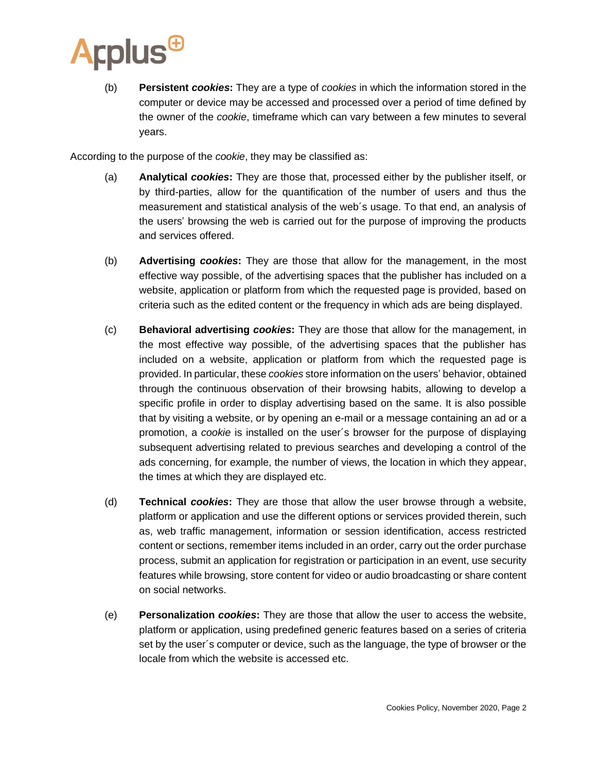

(b) **Persistent** *cookies***:** They are a type of *cookies* in which the information stored in the computer or device may be accessed and processed over a period of time defined by the owner of the *cookie*, timeframe which can vary between a few minutes to several years.

According to the purpose of the *cookie*, they may be classified as:

- (a) **Analytical** *cookies***:** They are those that, processed either by the publisher itself, or by third-parties, allow for the quantification of the number of users and thus the measurement and statistical analysis of the web´s usage. To that end, an analysis of the users' browsing the web is carried out for the purpose of improving the products and services offered.
- (b) **Advertising** *cookies***:** They are those that allow for the management, in the most effective way possible, of the advertising spaces that the publisher has included on a website, application or platform from which the requested page is provided, based on criteria such as the edited content or the frequency in which ads are being displayed.
- (c) **Behavioral advertising** *cookies***:** They are those that allow for the management, in the most effective way possible, of the advertising spaces that the publisher has included on a website, application or platform from which the requested page is provided. In particular, these *cookies* store information on the users' behavior, obtained through the continuous observation of their browsing habits, allowing to develop a specific profile in order to display advertising based on the same. It is also possible that by visiting a website, or by opening an e-mail or a message containing an ad or a promotion, a *cookie* is installed on the user´s browser for the purpose of displaying subsequent advertising related to previous searches and developing a control of the ads concerning, for example, the number of views, the location in which they appear, the times at which they are displayed etc.
- (d) **Technical** *cookies***:** They are those that allow the user browse through a website, platform or application and use the different options or services provided therein, such as, web traffic management, information or session identification, access restricted content or sections, remember items included in an order, carry out the order purchase process, submit an application for registration or participation in an event, use security features while browsing, store content for video or audio broadcasting or share content on social networks.
- (e) **Personalization** *cookies***:** They are those that allow the user to access the website, platform or application, using predefined generic features based on a series of criteria set by the user´s computer or device, such as the language, the type of browser or the locale from which the website is accessed etc.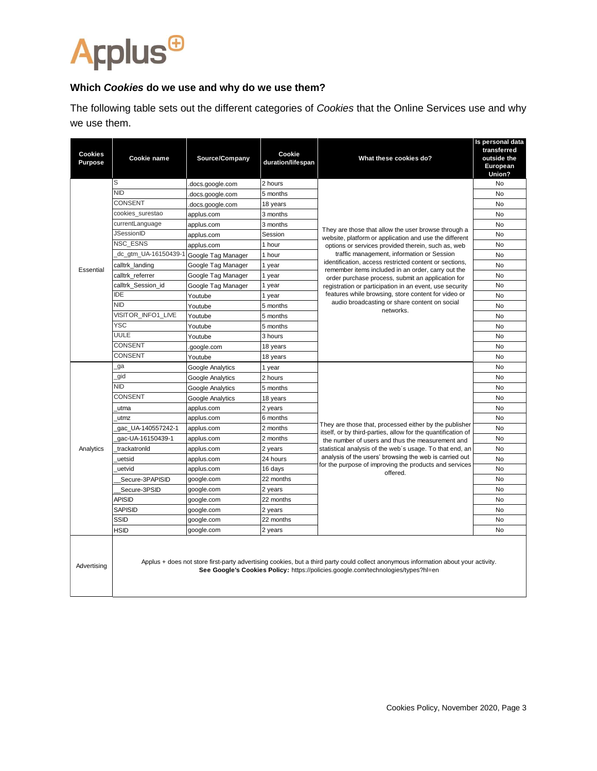# **Arplus<sup>®</sup>**

## **Which** *Cookies* **do we use and why do we use them?**

The following table sets out the different categories of *Cookies* that the Online Services use and why we use them.

| <b>Cookies</b><br><b>Purpose</b> | Cookie name           | Source/Company     | Cookie<br>duration/lifespan | What these cookies do?                                                                                                                                                                                                                                                                                                                                                                                                                                                                                                                                                 | Is personal data<br>transferred<br>outside the<br>European<br>Union? |
|----------------------------------|-----------------------|--------------------|-----------------------------|------------------------------------------------------------------------------------------------------------------------------------------------------------------------------------------------------------------------------------------------------------------------------------------------------------------------------------------------------------------------------------------------------------------------------------------------------------------------------------------------------------------------------------------------------------------------|----------------------------------------------------------------------|
| Essential                        | S                     | .docs.google.com   | 2 hours                     | They are those that allow the user browse through a<br>website, platform or application and use the different<br>options or services provided therein, such as, web<br>traffic management, information or Session<br>identification, access restricted content or sections,<br>remember items included in an order, carry out the<br>order purchase process, submit an application for<br>registration or participation in an event, use security<br>features while browsing, store content for video or<br>audio broadcasting or share content on social<br>networks. | <b>No</b>                                                            |
|                                  | <b>NID</b>            | .docs.google.com   | 5 months                    |                                                                                                                                                                                                                                                                                                                                                                                                                                                                                                                                                                        | No                                                                   |
|                                  | <b>CONSENT</b>        | .docs.google.com   | 18 years                    |                                                                                                                                                                                                                                                                                                                                                                                                                                                                                                                                                                        | No                                                                   |
|                                  | cookies surestao      | applus.com         | 3 months                    |                                                                                                                                                                                                                                                                                                                                                                                                                                                                                                                                                                        | No                                                                   |
|                                  | currentLanguage       | applus.com         | 3 months                    |                                                                                                                                                                                                                                                                                                                                                                                                                                                                                                                                                                        | <b>No</b>                                                            |
|                                  | <b>JSessionID</b>     | applus.com         | Session                     |                                                                                                                                                                                                                                                                                                                                                                                                                                                                                                                                                                        | No                                                                   |
|                                  | NSC ESNS              | applus.com         | 1 hour                      |                                                                                                                                                                                                                                                                                                                                                                                                                                                                                                                                                                        | No                                                                   |
|                                  | _dc_gtm_UA-16150439-1 | Google Tag Manager | 1 hour                      |                                                                                                                                                                                                                                                                                                                                                                                                                                                                                                                                                                        | No                                                                   |
|                                  | calltrk_landing       | Google Tag Manager | 1 year                      |                                                                                                                                                                                                                                                                                                                                                                                                                                                                                                                                                                        | No                                                                   |
|                                  | calltrk referrer      | Google Tag Manager | 1 year                      |                                                                                                                                                                                                                                                                                                                                                                                                                                                                                                                                                                        | <b>No</b>                                                            |
|                                  | calltrk Session id    | Google Tag Manager | 1 year                      |                                                                                                                                                                                                                                                                                                                                                                                                                                                                                                                                                                        | No                                                                   |
|                                  | <b>IDE</b>            | Youtube            | 1 year                      |                                                                                                                                                                                                                                                                                                                                                                                                                                                                                                                                                                        | <b>No</b>                                                            |
|                                  | <b>NID</b>            | Youtube            | 5 months                    |                                                                                                                                                                                                                                                                                                                                                                                                                                                                                                                                                                        | No                                                                   |
|                                  | VISITOR INFO1 LIVE    | Youtube            | 5 months                    |                                                                                                                                                                                                                                                                                                                                                                                                                                                                                                                                                                        | No                                                                   |
|                                  | <b>YSC</b>            | Youtube            | 5 months                    |                                                                                                                                                                                                                                                                                                                                                                                                                                                                                                                                                                        | No                                                                   |
|                                  | UULE                  | Youtube            | 3 hours                     |                                                                                                                                                                                                                                                                                                                                                                                                                                                                                                                                                                        | No                                                                   |
|                                  | <b>CONSENT</b>        | .google.com        | 18 years                    |                                                                                                                                                                                                                                                                                                                                                                                                                                                                                                                                                                        | No                                                                   |
|                                  | <b>CONSENT</b>        | Youtube            | 18 years                    |                                                                                                                                                                                                                                                                                                                                                                                                                                                                                                                                                                        | No                                                                   |
| Analytics                        | ga                    | Google Analytics   | 1 year                      | They are those that, processed either by the publisher<br>itself, or by third-parties, allow for the quantification of<br>the number of users and thus the measurement and<br>statistical analysis of the web's usage. To that end, an<br>analysis of the users' browsing the web is carried out<br>for the purpose of improving the products and services<br>offered.                                                                                                                                                                                                 | No                                                                   |
|                                  | gid                   | Google Analytics   | 2 hours                     |                                                                                                                                                                                                                                                                                                                                                                                                                                                                                                                                                                        | No                                                                   |
|                                  | <b>NID</b>            | Google Analytics   | 5 months                    |                                                                                                                                                                                                                                                                                                                                                                                                                                                                                                                                                                        | No                                                                   |
|                                  | CONSENT               | Google Analytics   | 18 years                    |                                                                                                                                                                                                                                                                                                                                                                                                                                                                                                                                                                        | No                                                                   |
|                                  | utma                  | applus.com         | 2 years                     |                                                                                                                                                                                                                                                                                                                                                                                                                                                                                                                                                                        | No                                                                   |
|                                  | utmz                  | applus.com         | 6 months                    |                                                                                                                                                                                                                                                                                                                                                                                                                                                                                                                                                                        | No                                                                   |
|                                  | gac_UA-140557242-1    | applus.com         | 2 months                    |                                                                                                                                                                                                                                                                                                                                                                                                                                                                                                                                                                        | <b>No</b>                                                            |
|                                  | gac-UA-16150439-1     | applus.com         | 2 months                    |                                                                                                                                                                                                                                                                                                                                                                                                                                                                                                                                                                        | No                                                                   |
|                                  | trackatronId          | applus.com         | 2 years                     |                                                                                                                                                                                                                                                                                                                                                                                                                                                                                                                                                                        | No                                                                   |
|                                  | uetsid                | applus.com         | 24 hours                    |                                                                                                                                                                                                                                                                                                                                                                                                                                                                                                                                                                        | <b>No</b>                                                            |
|                                  | uetvid                | applus.com         | 16 days                     |                                                                                                                                                                                                                                                                                                                                                                                                                                                                                                                                                                        | No                                                                   |
|                                  | Secure-3PAPISID       | google.com         | 22 months                   |                                                                                                                                                                                                                                                                                                                                                                                                                                                                                                                                                                        | No                                                                   |
|                                  | Secure-3PSID          | google.com         | 2 years                     |                                                                                                                                                                                                                                                                                                                                                                                                                                                                                                                                                                        | No                                                                   |
|                                  | <b>APISID</b>         | google.com         | 22 months                   |                                                                                                                                                                                                                                                                                                                                                                                                                                                                                                                                                                        | No                                                                   |
|                                  | <b>SAPISID</b>        | google.com         | 2 years                     |                                                                                                                                                                                                                                                                                                                                                                                                                                                                                                                                                                        | No                                                                   |
|                                  | SSID                  | google.com         | 22 months                   |                                                                                                                                                                                                                                                                                                                                                                                                                                                                                                                                                                        | No                                                                   |
|                                  | <b>HSID</b>           | google.com         | 2 years                     |                                                                                                                                                                                                                                                                                                                                                                                                                                                                                                                                                                        | No                                                                   |
| Advertising                      |                       |                    |                             | Applus + does not store first-party advertising cookies, but a third party could collect anonymous information about your activity.<br>See Google's Cookies Policy: https://policies.google.com/technologies/types?hl=en                                                                                                                                                                                                                                                                                                                                               |                                                                      |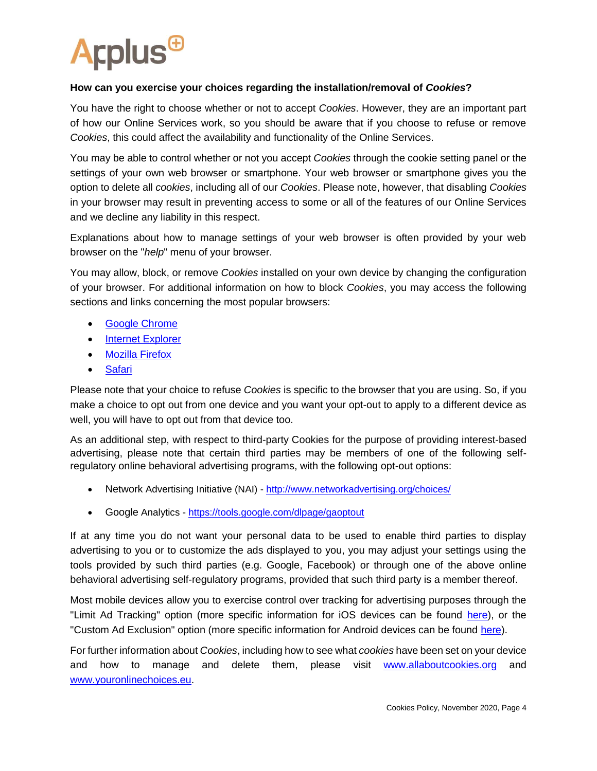

### **How can you exercise your choices regarding the installation/removal of** *Cookies***?**

You have the right to choose whether or not to accept *Cookies*. However, they are an important part of how our Online Services work, so you should be aware that if you choose to refuse or remove *Cookies*, this could affect the availability and functionality of the Online Services.

You may be able to control whether or not you accept *Cookies* through the cookie setting panel or the settings of your own web browser or smartphone. Your web browser or smartphone gives you the option to delete all *cookies*, including all of our *Cookies*. Please note, however, that disabling *Cookies* in your browser may result in preventing access to some or all of the features of our Online Services and we decline any liability in this respect.

Explanations about how to manage settings of your web browser is often provided by your web browser on the "*help*" menu of your browser.

You may allow, block, or remove *Cookies* installed on your own device by changing the configuration of your browser. For additional information on how to block *Cookies*, you may access the following sections and links concerning the most popular browsers:

- [Google Chrome](https://support.google.com/chrome/answer/95647?hl=en-GB)
- [Internet Explorer](https://support.microsoft.com/en-gb/help/17442/windows-internet-explorer-delete-manage-cookies)
- [Mozilla Firefox](https://support.mozilla.org/en-US/kb/enable-and-disable-cookies-website-preferences)
- [Safari](https://support.apple.com/en-us/HT201265)

Please note that your choice to refuse *Cookies* is specific to the browser that you are using. So, if you make a choice to opt out from one device and you want your opt-out to apply to a different device as well, you will have to opt out from that device too.

As an additional step, with respect to third-party Cookies for the purpose of providing interest-based advertising, please note that certain third parties may be members of one of the following selfregulatory online behavioral advertising programs, with the following opt-out options:

- Network Advertising Initiative (NAI) <http://www.networkadvertising.org/choices/>
- Google Analytics <https://tools.google.com/dlpage/gaoptout>

If at any time you do not want your personal data to be used to enable third parties to display advertising to you or to customize the ads displayed to you, you may adjust your settings using the tools provided by such third parties (e.g. Google, Facebook) or through one of the above online behavioral advertising self-regulatory programs, provided that such third party is a member thereof.

Most mobile devices allow you to exercise control over tracking for advertising purposes through the "Limit Ad Tracking" option (more specific information for iOS devices can be found [here\)](https://support.apple.com/en-us/HT202074), or the "Custom Ad Exclusion" option (more specific information for Android devices can be found [here\)](https://support.google.com/ads/answer/2662922?hl=en).

For further information about *Cookies*, including how to see what *cookies* have been set on your device and how to manage and delete them, please visit [www.allaboutcookies.org](http://www.allaboutcookies.org/) and [www.youronlinechoices.eu.](http://www.youronlinechoices.eu/)